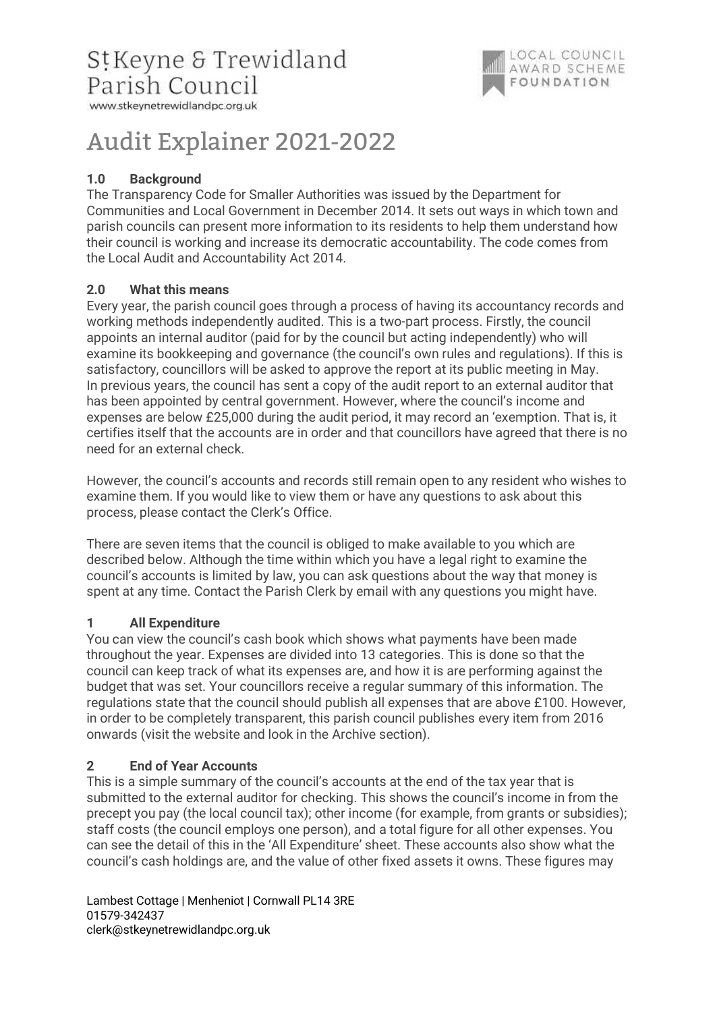

# Audit Explainer 2021-2022

# 1.0 Background

The Transparency Code for Smaller Authorities was issued by the Department for Communities and Local Government in December 2014. It sets out ways in which town and parish councils can present more information to its residents to help them understand how their council is working and increase its democratic accountability. The code comes from the Local Audit and Accountability Act 2014.

# 2.0 What this means

Every year, the parish council goes through a process of having its accountancy records and working methods independently audited. This is a two-part process. Firstly, the council appoints an internal auditor (paid for by the council but acting independently) who will examine its bookkeeping and governance (the council's own rules and regulations). If this is satisfactory, councillors will be asked to approve the report at its public meeting in May. In previous years, the council has sent a copy of the audit report to an external auditor that has been appointed by central government. However, where the council's income and expenses are below £25,000 during the audit period, it may record an 'exemption. That is, it certifies itself that the accounts are in order and that councillors have agreed that there is no need for an external check.

However, the council's accounts and records still remain open to any resident who wishes to examine them. If you would like to view them or have any questions to ask about this process, please contact the Clerk's Office.

There are seven items that the council is obliged to make available to you which are described below. Although the time within which you have a legal right to examine the council's accounts is limited by law, you can ask questions about the way that money is spent at any time. Contact the Parish Clerk by email with any questions you might have.

# 1 All Expenditure

You can view the council's cash book which shows what payments have been made throughout the year. Expenses are divided into 13 categories. This is done so that the council can keep track of what its expenses are, and how it is are performing against the budget that was set. Your councillors receive a regular summary of this information. The regulations state that the council should publish all expenses that are above £100. However, in order to be completely transparent, this parish council publishes every item from 2016 onwards (visit the website and look in the Archive section).

# 2 End of Year Accounts

This is a simple summary of the council's accounts at the end of the tax year that is submitted to the external auditor for checking. This shows the council's income in from the precept you pay (the local council tax); other income (for example, from grants or subsidies); staff costs (the council employs one person), and a total figure for all other expenses. You can see the detail of this in the 'All Expenditure' sheet. These accounts also show what the council's cash holdings are, and the value of other fixed assets it owns. These figures may

Lambest Cottage | Menheniot | Cornwall PL14 3RE 01579-342437 clerk@stkeynetrewidlandpc.org.uk